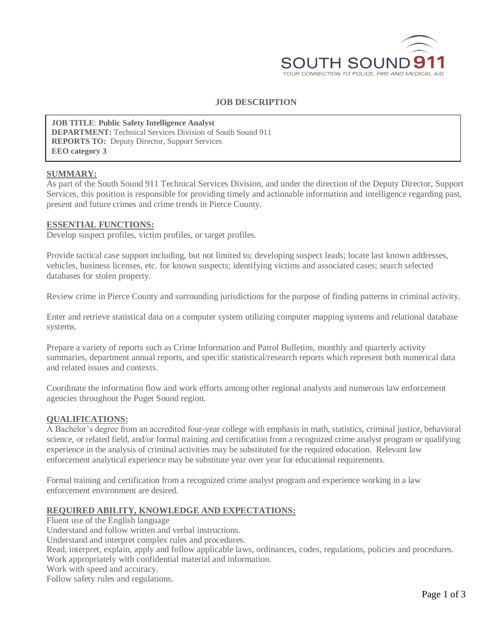

# **JOB DESCRIPTION**

**JOB TITLE**: **Public Safety Intelligence Analyst DEPARTMENT:** Technical Services Division of South Sound 911 **REPORTS TO:** Deputy Director, Support Services **EEO category 3**

#### **SUMMARY:**

As part of the South Sound 911 Technical Services Division, and under the direction of the Deputy Director, Support Services, this position is responsible for providing timely and actionable information and intelligence regarding past, present and future crimes and crime trends in Pierce County.

#### **ESSENTIAL FUNCTIONS:**

Develop suspect profiles, victim profiles, or target profiles.

Provide tactical case support including, but not limited to; developing suspect leads; locate last known addresses, vehicles, business licenses, etc. for known suspects; identifying victims and associated cases; search selected databases for stolen property.

Review crime in Pierce County and surrounding jurisdictions for the purpose of finding patterns in criminal activity.

Enter and retrieve statistical data on a computer system utilizing computer mapping systems and relational database systems.

Prepare a variety of reports such as Crime Information and Patrol Bulletins, monthly and quarterly activity summaries, department annual reports, and specific statistical/research reports which represent both numerical data and related issues and contexts.

Coordinate the information flow and work efforts among other regional analysts and numerous law enforcement agencies throughout the Puget Sound region.

### **QUALIFICATIONS:**

A Bachelor's degree from an accredited four-year college with emphasis in math, statistics, criminal justice, behavioral science, or related field, and/or formal training and certification from a recognized crime analyst program or qualifying experience in the analysis of criminal activities may be substituted for the required education. Relevant law enforcement analytical experience may be substitute year over year for educational requirements.

Formal training and certification from a recognized crime analyst program and experience working in a law enforcement environment are desired.

### **REQUIRED ABILITY, KNOWLEDGE AND EXPECTATIONS:**

Fluent use of the English language Understand and follow written and verbal instructions.

Understand and interpret complex rules and procedures.

Read, interpret, explain, apply and follow applicable laws, ordinances, codes, regulations, policies and procedures. Work appropriately with confidential material and information.

Work with speed and accuracy.

Follow safety rules and regulations.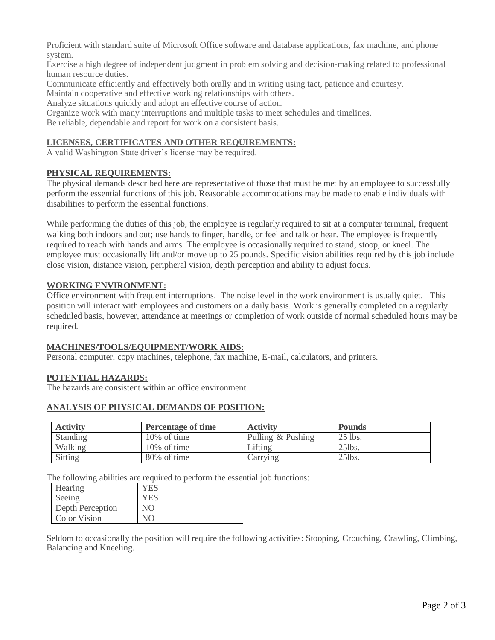Proficient with standard suite of Microsoft Office software and database applications, fax machine, and phone system.

Exercise a high degree of independent judgment in problem solving and decision-making related to professional human resource duties.

Communicate efficiently and effectively both orally and in writing using tact, patience and courtesy.

Maintain cooperative and effective working relationships with others.

Analyze situations quickly and adopt an effective course of action.

Organize work with many interruptions and multiple tasks to meet schedules and timelines.

Be reliable, dependable and report for work on a consistent basis.

# **LICENSES, CERTIFICATES AND OTHER REQUIREMENTS:**

A valid Washington State driver's license may be required.

# **PHYSICAL REQUIREMENTS:**

The physical demands described here are representative of those that must be met by an employee to successfully perform the essential functions of this job. Reasonable accommodations may be made to enable individuals with disabilities to perform the essential functions.

While performing the duties of this job, the employee is regularly required to sit at a computer terminal, frequent walking both indoors and out; use hands to finger, handle, or feel and talk or hear. The employee is frequently required to reach with hands and arms. The employee is occasionally required to stand, stoop, or kneel. The employee must occasionally lift and/or move up to 25 pounds. Specific vision abilities required by this job include close vision, distance vision, peripheral vision, depth perception and ability to adjust focus.

### **WORKING ENVIRONMENT:**

Office environment with frequent interruptions. The noise level in the work environment is usually quiet. This position will interact with employees and customers on a daily basis. Work is generally completed on a regularly scheduled basis, however, attendance at meetings or completion of work outside of normal scheduled hours may be required.

### **MACHINES/TOOLS/EQUIPMENT/WORK AIDS:**

Personal computer, copy machines, telephone, fax machine, E-mail, calculators, and printers.

# **POTENTIAL HAZARDS:**

The hazards are consistent within an office environment.

### **ANALYSIS OF PHYSICAL DEMANDS OF POSITION:**

| <b>Activity</b> | <b>Percentage of time</b> | <b>Activity</b>   | <b>Pounds</b> |
|-----------------|---------------------------|-------------------|---------------|
| Standing        | $10\%$ of time            | Pulling & Pushing | 25 lbs.       |
| Walking         | $10\%$ of time            | Lifting           | 251bs.        |
| Sitting         | 80% of time               | Carrying          | 25lbs.        |

The following abilities are required to perform the essential job functions:

| Hearing          | YES        |
|------------------|------------|
| Seeing           | <b>YES</b> |
| Depth Perception | NG         |
| Color Vision     |            |

Seldom to occasionally the position will require the following activities: Stooping, Crouching, Crawling, Climbing, Balancing and Kneeling.